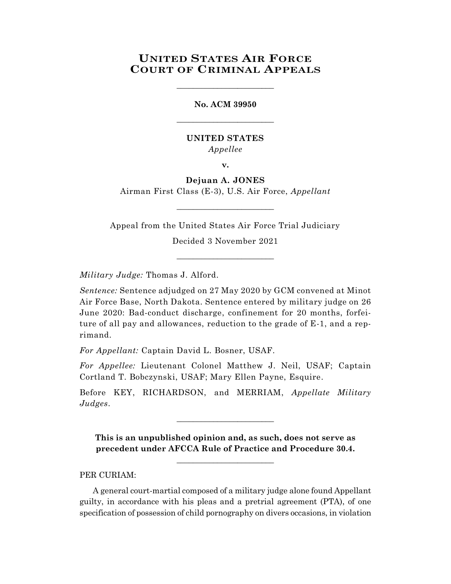## **UNITED STATES AIR FORCE COURT OF CRIMINAL APPEALS**

\_\_\_\_\_\_\_\_\_\_\_\_\_\_\_\_\_\_\_\_\_\_\_\_

# **No. ACM 39950** \_\_\_\_\_\_\_\_\_\_\_\_\_\_\_\_\_\_\_\_\_\_\_\_

## **UNITED STATES** *Appellee*

**v.**

## **Dejuan A. JONES**

Airman First Class (E-3), U.S. Air Force, *Appellant*  $\_$ 

Appeal from the United States Air Force Trial Judiciary

Decided 3 November 2021 \_\_\_\_\_\_\_\_\_\_\_\_\_\_\_\_\_\_\_\_\_\_\_\_

*Military Judge:* Thomas J. Alford.

*Sentence:* Sentence adjudged on 27 May 2020 by GCM convened at Minot Air Force Base, North Dakota. Sentence entered by military judge on 26 June 2020: Bad-conduct discharge, confinement for 20 months, forfeiture of all pay and allowances, reduction to the grade of E-1, and a reprimand.

*For Appellant:* Captain David L. Bosner, USAF.

*For Appellee:* Lieutenant Colonel Matthew J. Neil, USAF; Captain Cortland T. Bobczynski, USAF; Mary Ellen Payne, Esquire.

Before KEY, RICHARDSON, and MERRIAM, *Appellate Military Judges*.

\_\_\_\_\_\_\_\_\_\_\_\_\_\_\_\_\_\_\_\_\_\_\_\_

**This is an unpublished opinion and, as such, does not serve as precedent under AFCCA Rule of Practice and Procedure 30.4.**

**\_\_\_\_\_\_\_\_\_\_\_\_\_\_\_\_\_\_\_\_\_\_\_\_**

### PER CURIAM:

A general court-martial composed of a military judge alone found Appellant guilty, in accordance with his pleas and a pretrial agreement (PTA), of one specification of possession of child pornography on divers occasions, in violation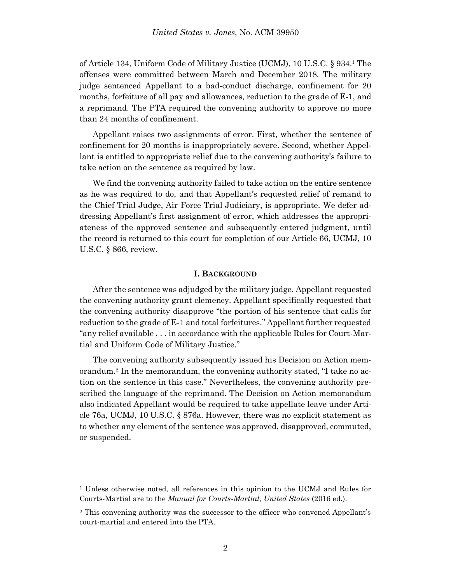of Article 134, Uniform Code of Military Justice (UCMJ), 10 U.S.C. § 934. <sup>1</sup> The offenses were committed between March and December 2018. The military judge sentenced Appellant to a bad-conduct discharge, confinement for 20 months, forfeiture of all pay and allowances, reduction to the grade of E-1, and a reprimand. The PTA required the convening authority to approve no more than 24 months of confinement.

Appellant raises two assignments of error. First, whether the sentence of confinement for 20 months is inappropriately severe. Second, whether Appellant is entitled to appropriate relief due to the convening authority's failure to take action on the sentence as required by law.

We find the convening authority failed to take action on the entire sentence as he was required to do, and that Appellant's requested relief of remand to the Chief Trial Judge, Air Force Trial Judiciary, is appropriate. We defer addressing Appellant's first assignment of error, which addresses the appropriateness of the approved sentence and subsequently entered judgment, until the record is returned to this court for completion of our Article 66, UCMJ, 10 U.S.C. § 866, review.

#### **I. BACKGROUND**

After the sentence was adjudged by the military judge, Appellant requested the convening authority grant clemency. Appellant specifically requested that the convening authority disapprove "the portion of his sentence that calls for reduction to the grade of E-1 and total forfeitures." Appellant further requested "any relief available . . . in accordance with the applicable Rules for Court-Martial and Uniform Code of Military Justice."

The convening authority subsequently issued his Decision on Action memorandum. <sup>2</sup> In the memorandum, the convening authority stated, "I take no action on the sentence in this case." Nevertheless, the convening authority prescribed the language of the reprimand. The Decision on Action memorandum also indicated Appellant would be required to take appellate leave under Article 76a, UCMJ, 10 U.S.C. § 876a. However, there was no explicit statement as to whether any element of the sentence was approved, disapproved, commuted, or suspended.

l

<sup>1</sup> Unless otherwise noted, all references in this opinion to the UCMJ and Rules for Courts-Martial are to the *Manual for Courts-Martial, United States* (2016 ed.).

<sup>2</sup> This convening authority was the successor to the officer who convened Appellant's court-martial and entered into the PTA.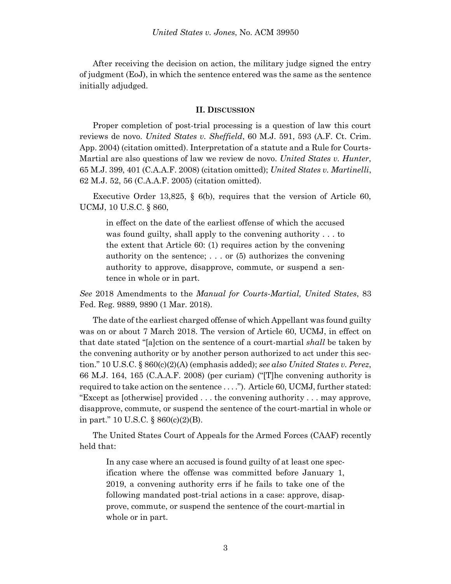After receiving the decision on action, the military judge signed the entry of judgment (EoJ), in which the sentence entered was the same as the sentence initially adjudged.

#### **II. DISCUSSION**

Proper completion of post-trial processing is a question of law this court reviews de novo. *United States v. Sheffield*, 60 M.J. 591, 593 (A.F. Ct. Crim. App. 2004) (citation omitted). Interpretation of a statute and a Rule for Courts-Martial are also questions of law we review de novo. *United States v. Hunter*, 65 M.J. 399, 401 (C.A.A.F. 2008) (citation omitted); *United States v. Martinelli*, 62 M.J. 52, 56 (C.A.A.F. 2005) (citation omitted).

Executive Order 13,825, § 6(b), requires that the version of Article 60, UCMJ, 10 U.S.C. § 860,

in effect on the date of the earliest offense of which the accused was found guilty, shall apply to the convening authority . . . to the extent that Article 60: (1) requires action by the convening authority on the sentence; . . . or (5) authorizes the convening authority to approve, disapprove, commute, or suspend a sentence in whole or in part.

*See* 2018 Amendments to the *Manual for Courts-Martial, United States*, 83 Fed. Reg. 9889, 9890 (1 Mar. 2018).

The date of the earliest charged offense of which Appellant was found guilty was on or about 7 March 2018. The version of Article 60, UCMJ, in effect on that date stated "[a]ction on the sentence of a court-martial *shall* be taken by the convening authority or by another person authorized to act under this section." 10 U.S.C. § 860(c)(2)(A) (emphasis added); *see also United States v. Perez*, 66 M.J. 164, 165 (C.A.A.F. 2008) (per curiam) ("[T]he convening authority is required to take action on the sentence . . . ."). Article 60, UCMJ, further stated: "Except as [otherwise] provided . . . the convening authority . . . may approve, disapprove, commute, or suspend the sentence of the court-martial in whole or in part." 10 U.S.C. § 860(c)(2)(B).

The United States Court of Appeals for the Armed Forces (CAAF) recently held that:

In any case where an accused is found guilty of at least one specification where the offense was committed before January 1, 2019, a convening authority errs if he fails to take one of the following mandated post-trial actions in a case: approve, disapprove, commute, or suspend the sentence of the court-martial in whole or in part.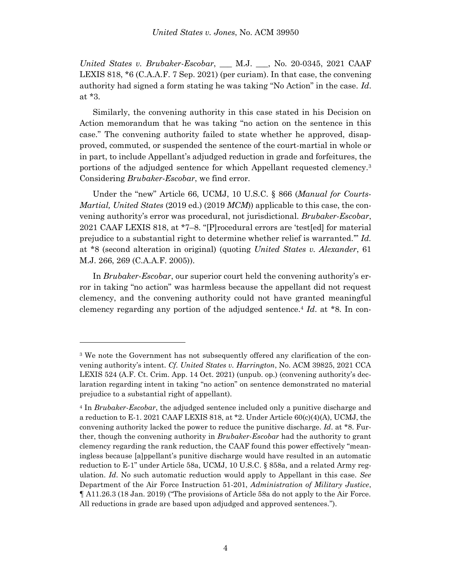*United States v. Brubaker-Escobar*, \_\_\_ M.J. \_\_\_, No. 20-0345, 2021 CAAF LEXIS 818, \*6 (C.A.A.F. 7 Sep. 2021) (per curiam). In that case, the convening authority had signed a form stating he was taking "No Action" in the case. *Id*. at \*3.

Similarly, the convening authority in this case stated in his Decision on Action memorandum that he was taking "no action on the sentence in this case." The convening authority failed to state whether he approved, disapproved, commuted, or suspended the sentence of the court-martial in whole or in part, to include Appellant's adjudged reduction in grade and forfeitures, the portions of the adjudged sentence for which Appellant requested clemency.<sup>3</sup> Considering *Brubaker-Escobar*, we find error.

Under the "new" Article 66, UCMJ, 10 U.S.C. § 866 (*Manual for Courts-Martial, United States* (2019 ed.) (2019 *MCM*)) applicable to this case, the convening authority's error was procedural, not jurisdictional. *Brubaker-Escobar*, 2021 CAAF LEXIS 818, at \*7–8. "[P]rocedural errors are 'test[ed] for material prejudice to a substantial right to determine whether relief is warranted.'" *Id.*  at \*8 (second alteration in original) (quoting *United States v. Alexander*, 61 M.J. 266, 269 (C.A.A.F. 2005)).

In *Brubaker-Escobar*, our superior court held the convening authority's error in taking "no action" was harmless because the appellant did not request clemency, and the convening authority could not have granted meaningful clemency regarding any portion of the adjudged sentence.<sup>4</sup> *Id*. at \*8. In con-

l

<sup>3</sup> We note the Government has not subsequently offered any clarification of the convening authority's intent. *Cf. United States v. Harrington*, No. ACM 39825, 2021 CCA LEXIS 524 (A.F. Ct. Crim. App. 14 Oct. 2021) (unpub. op.) (convening authority's declaration regarding intent in taking "no action" on sentence demonstrated no material prejudice to a substantial right of appellant).

<sup>4</sup> In *Brubaker-Escobar*, the adjudged sentence included only a punitive discharge and a reduction to E-1. 2021 CAAF LEXIS 818, at  $*2$ . Under Article 60(c)(4)(A), UCMJ, the convening authority lacked the power to reduce the punitive discharge. *Id*. at \*8. Further, though the convening authority in *Brubaker-Escobar* had the authority to grant clemency regarding the rank reduction, the CAAF found this power effectively "meaningless because [a]ppellant's punitive discharge would have resulted in an automatic reduction to E-1" under Article 58a, UCMJ, 10 U.S.C. § 858a, and a related Army regulation. *Id*. No such automatic reduction would apply to Appellant in this case. *See* Department of the Air Force Instruction 51-201, *Administration of Military Justice*, ¶ A11.26.3 (18 Jan. 2019) ("The provisions of Article 58a do not apply to the Air Force. All reductions in grade are based upon adjudged and approved sentences.").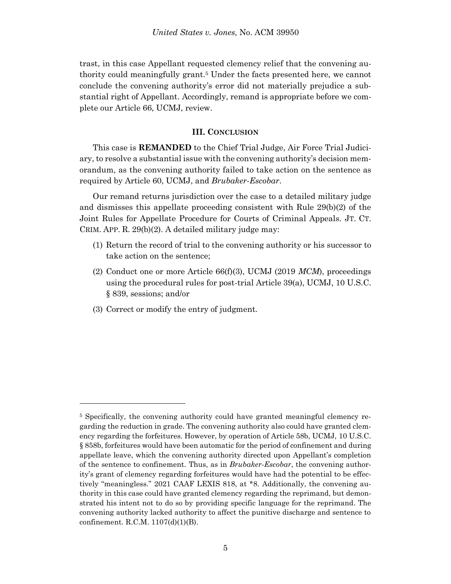trast, in this case Appellant requested clemency relief that the convening authority could meaningfully grant. <sup>5</sup> Under the facts presented here, we cannot conclude the convening authority's error did not materially prejudice a substantial right of Appellant. Accordingly, remand is appropriate before we complete our Article 66, UCMJ, review.

### **III. CONCLUSION**

This case is **REMANDED** to the Chief Trial Judge, Air Force Trial Judiciary, to resolve a substantial issue with the convening authority's decision memorandum, as the convening authority failed to take action on the sentence as required by Article 60, UCMJ, and *Brubaker-Escobar*.

Our remand returns jurisdiction over the case to a detailed military judge and dismisses this appellate proceeding consistent with Rule 29(b)(2) of the Joint Rules for Appellate Procedure for Courts of Criminal Appeals. JT. CT. CRIM. APP. R. 29(b)(2). A detailed military judge may:

- (1) Return the record of trial to the convening authority or his successor to take action on the sentence;
- (2) Conduct one or more Article 66(f)(3), UCMJ (2019 *MCM*), proceedings using the procedural rules for post-trial Article 39(a), UCMJ, 10 U.S.C. § 839, sessions; and/or
- (3) Correct or modify the entry of judgment.

l

<sup>5</sup> Specifically, the convening authority could have granted meaningful clemency regarding the reduction in grade. The convening authority also could have granted clemency regarding the forfeitures. However, by operation of Article 58b, UCMJ, 10 U.S.C. § 858b, forfeitures would have been automatic for the period of confinement and during appellate leave, which the convening authority directed upon Appellant's completion of the sentence to confinement. Thus, as in *Brubaker-Escobar*, the convening authority's grant of clemency regarding forfeitures would have had the potential to be effectively "meaningless." 2021 CAAF LEXIS 818, at \*8. Additionally, the convening authority in this case could have granted clemency regarding the reprimand, but demonstrated his intent not to do so by providing specific language for the reprimand. The convening authority lacked authority to affect the punitive discharge and sentence to confinement. R.C.M. 1107(d)(1)(B).